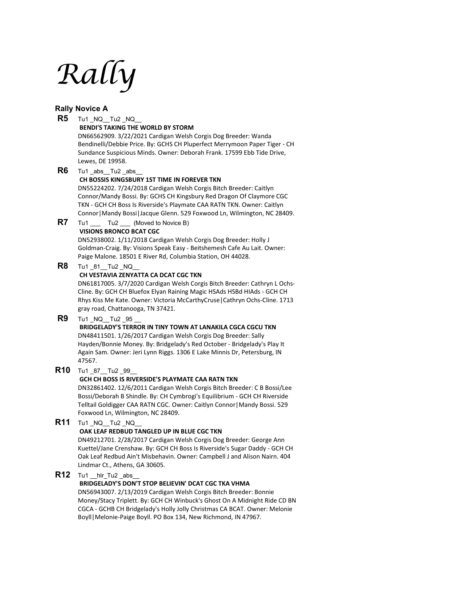# *Rally*

## **Rally Novice A**

|     | <b>Rally NOVICE A</b>                                                              |
|-----|------------------------------------------------------------------------------------|
| R5  | Tu1 NQ Tu2 NQ                                                                      |
|     | <b>BENDI'S TAKING THE WORLD BY STORM</b>                                           |
|     | DN66562909. 3/22/2021 Cardigan Welsh Corgis Dog Breeder: Wanda                     |
|     | Bendinelli/Debbie Price. By: GCHS CH Pluperfect Merrymoon Paper Tiger - CH         |
|     | Sundance Suspicious Minds. Owner: Deborah Frank. 17599 Ebb Tide Drive,             |
|     | Lewes, DE 19958.                                                                   |
| R6  | Tu1_abs_Tu2_abs                                                                    |
|     | CH BOSSIS KINGSBURY 1ST TIME IN FOREVER TKN                                        |
|     | DN55224202. 7/24/2018 Cardigan Welsh Corgis Bitch Breeder: Caitlyn                 |
|     | Connor/Mandy Bossi. By: GCHS CH Kingsbury Red Dragon Of Claymore CGC               |
|     | TKN - GCH CH Boss Is Riverside's Playmate CAA RATN TKN. Owner: Caitlyn             |
|     | Connor   Mandy Bossi   Jacque Glenn. 529 Foxwood Ln, Wilmington, NC 28409.         |
| R7  | Tu1 a                                                                              |
|     | Tu2 ____ (Moved to Novice B)<br><b>VISIONS BRONCO BCAT CGC</b>                     |
|     | DN52938002. 1/11/2018 Cardigan Welsh Corgis Dog Breeder: Holly J                   |
|     | Goldman-Craig. By: Visions Speak Easy - Beitshemesh Cafe Au Lait. Owner:           |
|     | Paige Malone. 18501 E River Rd, Columbia Station, OH 44028.                        |
| R8  |                                                                                    |
|     | Tu1 _81_Tu2 _NQ                                                                    |
|     | CH VESTAVIA ZENYATTA CA DCAT CGC TKN                                               |
|     | DN61817005. 3/7/2020 Cardigan Welsh Corgis Bitch Breeder: Cathryn L Ochs-          |
|     | Cline. By: GCH CH Bluefox Elyan Raining Magic HSAds HSBd HIAds - GCH CH            |
|     | Rhys Kiss Me Kate. Owner: Victoria McCarthyCruse   Cathryn Ochs-Cline. 1713        |
|     | gray road, Chattanooga, TN 37421.                                                  |
| R9  | Tu1 NQ Tu2 95                                                                      |
|     | <b>BRIDGELADY'S TERROR IN TINY TOWN AT LANAKILA CGCA CGCU TKN</b>                  |
|     | DN48411501. 1/26/2017 Cardigan Welsh Corgis Dog Breeder: Sally                     |
|     | Hayden/Bonnie Money. By: Bridgelady's Red October - Bridgelady's Play It           |
|     | Again Sam. Owner: Jeri Lynn Riggs. 1306 E Lake Minnis Dr, Petersburg, IN<br>47567. |
|     |                                                                                    |
| R10 | Tu1 87 Tu2 99                                                                      |
|     | GCH CH BOSS IS RIVERSIDE'S PLAYMATE CAA RATN TKN                                   |
|     | DN32861402. 12/6/2011 Cardigan Welsh Corgis Bitch Breeder: C B Bossi/Lee           |
|     | Bossi/Deborah B Shindle. By: CH Cymbrogi's Equilibrium - GCH CH Riverside          |
|     | Telltail Goldigger CAA RATN CGC. Owner: Caitlyn Connor   Mandy Bossi. 529          |
|     | Foxwood Ln, Wilmington, NC 28409.                                                  |
| R11 |                                                                                    |
|     | OAK LEAF REDBUD TANGLED UP IN BLUE CGC TKN                                         |
|     | DN49212701. 2/28/2017 Cardigan Welsh Corgis Dog Breeder: George Ann                |
|     | Kuettel/Jane Crenshaw. By: GCH CH Boss Is Riverside's Sugar Daddy - GCH CH         |
|     | Oak Leaf Redbud Ain't Misbehavin. Owner: Campbell J and Alison Nairn. 404          |
|     | Lindmar Ct., Athens, GA 30605.                                                     |
| R12 | Tu1 __hlr_Tu2 _abs                                                                 |
|     | BRIDGELADY'S DON'T STOP BELIEVIN' DCAT CGC TKA VHMA                                |
|     | DN56943007. 2/13/2019 Cardigan Welsh Corgis Bitch Breeder: Bonnie                  |
|     | Money/Stacy Triplett. By: GCH CH Winbuck's Ghost On A Midnight Ride CD BN          |
|     | CGCA - GCHB CH Bridgelady's Holly Jolly Christmas CA BCAT. Owner: Melonie          |
|     | Boyll   Melonie-Paige Boyll. PO Box 134, New Richmond, IN 47967.                   |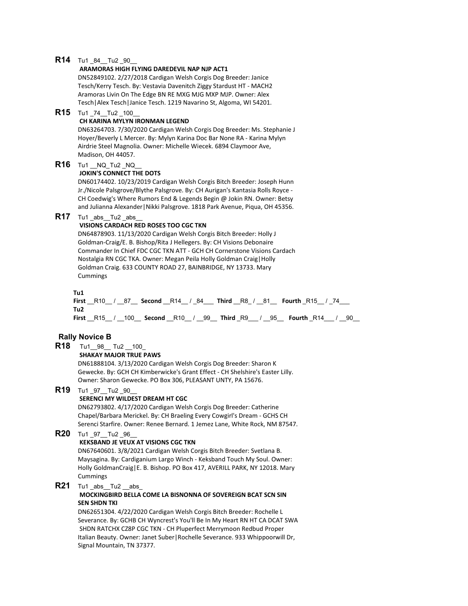## **R14** Tu1 84 \_Tu2 \_90

#### **ARAMORAS HIGH FLYING DAREDEVIL NAP NJP ACT1**

DN52849102. 2/27/2018 Cardigan Welsh Corgis Dog Breeder: Janice Tesch/Kerry Tesch. By: Vestavia Davenitch Ziggy Stardust HT - MACH2 Aramoras Livin On The Edge BN RE MXG MJG MXP MJP. Owner: Alex Tesch|Alex Tesch|Janice Tesch. 1219 Navarino St, Algoma, WI 54201.

**R15** Tu1 \_74\_\_Tu2 \_100\_\_

## **CH KARINA MYLYN IRONMAN LEGEND**

DN63264703. 7/30/2020 Cardigan Welsh Corgis Dog Breeder: Ms. Stephanie J Hoyer/Beverly L Mercer. By: Mylyn Karina Doc Bar None RA - Karina Mylyn Airdrie Steel Magnolia. Owner: Michelle Wiecek. 6894 Claymoor Ave, Madison, OH 44057.

**R16** Tu1 NQ Tu2 NQ

#### **JOKIN'S CONNECT THE DOTS**

DN60174402. 10/23/2019 Cardigan Welsh Corgis Bitch Breeder: Joseph Hunn Jr./Nicole Palsgrove/Blythe Palsgrove. By: CH Aurigan's Kantasia Rolls Royce - CH Coedwig's Where Rumors End & Legends Begin @ Jokin RN. Owner: Betsy and Julianna Alexander|Nikki Palsgrove. 1818 Park Avenue, Piqua, OH 45356.

# **R17** Tu1 abs Tu2 abs

#### **VISIONS CARDACH RED ROSES TOO CGC TKN**

DN64878903. 11/13/2020 Cardigan Welsh Corgis Bitch Breeder: Holly J Goldman-Craig/E. B. Bishop/Rita J Hellegers. By: CH Visions Debonaire Commander In Chief FDC CGC TKN ATT - GCH CH Cornerstone Visions Cardach Nostalgia RN CGC TKA. Owner: Megan Peila Holly Goldman Craig|Holly Goldman Craig. 633 COUNTY ROAD 27, BAINBRIDGE, NY 13733. Mary Cummings

#### **Tu1**

**First** \_\_R10\_\_ / \_\_87\_\_ **Second** \_\_R14\_\_ / \_84\_\_\_ **Third** \_\_R8\_ / \_\_81\_\_ **Fourth** \_R15\_\_ / \_74\_\_\_ **Tu2 First** \_\_R15\_\_ / \_\_100\_\_ **Second** \_\_R10\_\_ / \_\_99\_\_ **Third** \_R9\_\_\_ / \_\_95\_\_ **Fourth** \_R14\_\_\_ / \_\_90\_\_

#### **Rally Novice B**

**R18** Tu1\_\_98\_\_ Tu2 \_\_100\_

#### **SHAKAY MAJOR TRUE PAWS**

DN61888104. 3/13/2020 Cardigan Welsh Corgis Dog Breeder: Sharon K Gewecke. By: GCH CH Kimberwicke's Grant Effect - CH Shelshire's Easter Lilly. Owner: Sharon Gewecke. PO Box 306, PLEASANT UNTY, PA 15676.

# **R19** Tu1 97 Tu2 90

## **SERENCI MY WILDEST DREAM HT CGC**

DN62793802. 4/17/2020 Cardigan Welsh Corgis Dog Breeder: Catherine Chapel/Barbara Merickel. By: CH Braeling Every Cowgirl's Dream - GCHS CH Serenci Starfire. Owner: Renee Bernard. 1 Jemez Lane, White Rock, NM 87547.

# **R20** Tu1 97\_Tu2 \_96\_

#### **KEKSBAND JE VEUX AT VISIONS CGC TKN**

DN67640601. 3/8/2021 Cardigan Welsh Corgis Bitch Breeder: Svetlana B. Maysagina. By: Cardiganium Largo Winch - Keksband Touch My Soul. Owner: Holly GoldmanCraig|E. B. Bishop. PO Box 417, AVERILL PARK, NY 12018. Mary Cummings

# **R21** Tu1 abs \_Tu2 \_\_abs\_

#### **MOCKINGBIRD BELLA COME LA BISNONNA OF SOVEREIGN BCAT SCN SIN SEN SHDN TKI**

DN62651304. 4/22/2020 Cardigan Welsh Corgis Bitch Breeder: Rochelle L Severance. By: GCHB CH Wyncrest's You'll Be In My Heart RN HT CA DCAT SWA SHDN RATCHX CZ8P CGC TKN - CH Pluperfect Merrymoon Redbud Proper Italian Beauty. Owner: Janet Suber|Rochelle Severance. 933 Whippoorwill Dr, Signal Mountain, TN 37377.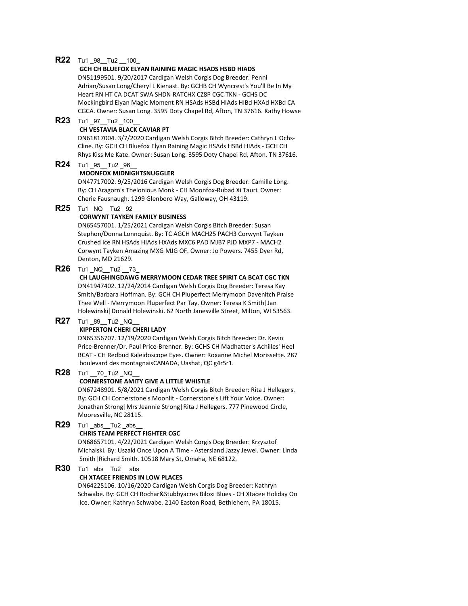## **R22** Tu1 \_98\_\_Tu2 \_\_100\_

#### **GCH CH BLUEFOX ELYAN RAINING MAGIC HSADS HSBD HIADS**

DN51199501. 9/20/2017 Cardigan Welsh Corgis Dog Breeder: Penni Adrian/Susan Long/Cheryl L Kienast. By: GCHB CH Wyncrest's You'll Be In My Heart RN HT CA DCAT SWA SHDN RATCHX CZ8P CGC TKN - GCHS DC Mockingbird Elyan Magic Moment RN HSAds HSBd HIAds HIBd HXAd HXBd CA CGCA. Owner: Susan Long. 3595 Doty Chapel Rd, Afton, TN 37616. Kathy Howse

**R23** Tu1 \_97\_\_Tu2 \_100\_\_

## **CH VESTAVIA BLACK CAVIAR PT**

DN61817004. 3/7/2020 Cardigan Welsh Corgis Bitch Breeder: Cathryn L Ochs-Cline. By: GCH CH Bluefox Elyan Raining Magic HSAds HSBd HIAds - GCH CH Rhys Kiss Me Kate. Owner: Susan Long. 3595 Doty Chapel Rd, Afton, TN 37616.

**R24** Tu1 \_95\_\_Tu2 \_96\_\_

## **MOONFOX MIDNIGHTSNUGGLER**

DN47717002. 9/25/2016 Cardigan Welsh Corgis Dog Breeder: Camille Long. By: CH Aragorn's Thelonious Monk - CH Moonfox-Rubad Xi Tauri. Owner: Cherie Fausnaugh. 1299 Glenboro Way, Galloway, OH 43119.

**R25** Tu1 \_NQ\_\_Tu2 \_92\_\_

## **CORWYNT TAYKEN FAMILY BUSINESS**

DN65457001. 1/25/2021 Cardigan Welsh Corgis Bitch Breeder: Susan Stephon/Donna Lonnquist. By: TC AGCH MACH25 PACH3 Corwynt Tayken Crushed Ice RN HSAds HIAds HXAds MXC6 PAD MJB7 PJD MXP7 - MACH2 Corwynt Tayken Amazing MXG MJG OF. Owner: Jo Powers. 7455 Dyer Rd, Denton, MD 21629.

**R26** Tu1 NQ Tu2 73

**CH LAUGHINGDAWG MERRYMOON CEDAR TREE SPIRIT CA BCAT CGC TKN** DN41947402. 12/24/2014 Cardigan Welsh Corgis Dog Breeder: Teresa Kay Smith/Barbara Hoffman. By: GCH CH Pluperfect Merrymoon Davenitch Praise Thee Well - Merrymoon Pluperfect Par Tay. Owner: Teresa K Smith|Jan Holewinski|Donald Holewinski. 62 North Janesville Street, Milton, WI 53563.

# **R27** Tu1 89 Tu2 NQ

## **KIPPERTON CHERI CHERI LADY**

DN65356707. 12/19/2020 Cardigan Welsh Corgis Bitch Breeder: Dr. Kevin Price-Brenner/Dr. Paul Price-Brenner. By: GCHS CH Madhatter's Achilles' Heel BCAT - CH Redbud Kaleidoscope Eyes. Owner: Roxanne Michel Morissette. 287 boulevard des montagnaisCANADA, Uashat, QC g4r5r1.

# **R28** Tu1 \_\_70\_Tu2 \_NQ\_\_

## **CORNERSTONE AMITY GIVE A LITTLE WHISTLE**

DN67248901. 5/8/2021 Cardigan Welsh Corgis Bitch Breeder: Rita J Hellegers. By: GCH CH Cornerstone's Moonlit - Cornerstone's Lift Your Voice. Owner: Jonathan Strong|Mrs Jeannie Strong|Rita J Hellegers. 777 Pinewood Circle, Mooresville, NC 28115.

**R29** Tu1 \_abs\_\_Tu2 \_abs\_\_

# **CHRIS TEAM PERFECT FIGHTER CGC**

DN68657101. 4/22/2021 Cardigan Welsh Corgis Dog Breeder: Krzysztof Michalski. By: Uszaki Once Upon A Time - Astersland Jazzy Jewel. Owner: Linda Smith|Richard Smith. 10518 Mary St, Omaha, NE 68122.

**R30** Tu1 \_abs\_\_Tu2 \_\_abs\_

## **CH XTACEE FRIENDS IN LOW PLACES**

DN64225106. 10/16/2020 Cardigan Welsh Corgis Dog Breeder: Kathryn Schwabe. By: GCH CH Rochar&Stubbyacres Biloxi Blues - CH Xtacee Holiday On Ice. Owner: Kathryn Schwabe. 2140 Easton Road, Bethlehem, PA 18015.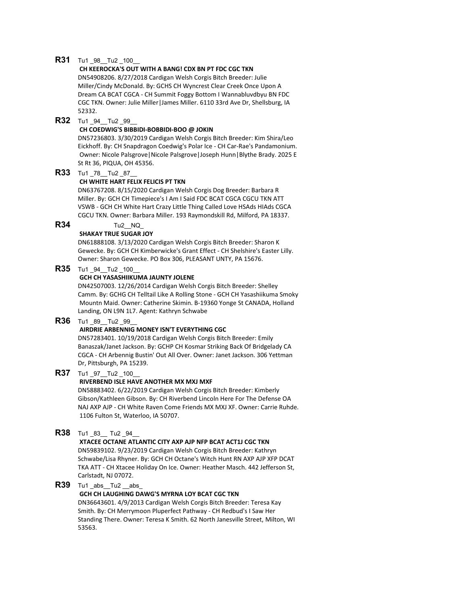## **R31** Tu1 98 Tu2 100

## **CH KEEROCKA'S OUT WITH A BANG! CDX BN PT FDC CGC TKN**

DN54908206. 8/27/2018 Cardigan Welsh Corgis Bitch Breeder: Julie Miller/Cindy McDonald. By: GCHS CH Wyncrest Clear Creek Once Upon A Dream CA BCAT CGCA - CH Summit Foggy Bottom I Wannabluvdbyu BN FDC CGC TKN. Owner: Julie Miller|James Miller. 6110 33rd Ave Dr, Shellsburg, IA 52332.

**R32** Tu1 94 Tu2 99

#### **CH COEDWIG'S BIBBIDI-BOBBIDI-BOO @ JOKIN**

DN57236803. 3/30/2019 Cardigan Welsh Corgis Bitch Breeder: Kim Shira/Leo Eickhoff. By: CH Snapdragon Coedwig's Polar Ice - CH Car-Rae's Pandamonium. Owner: Nicole Palsgrove|Nicole Palsgrove|Joseph Hunn|Blythe Brady. 2025 E St Rt 36, PIQUA, OH 45356.

**R33** Tu1 \_78\_\_Tu2 \_87\_\_

#### **CH WHITE HART FELIX FELICIS PT TKN**

DN63767208. 8/15/2020 Cardigan Welsh Corgis Dog Breeder: Barbara R Miller. By: GCH CH Timepiece's I Am I Said FDC BCAT CGCA CGCU TKN ATT VSWB - GCH CH White Hart Crazy Little Thing Called Love HSAds HIAds CGCA CGCU TKN. Owner: Barbara Miller. 193 Raymondskill Rd, Milford, PA 18337.

# **R34** Tu2\_\_NQ\_

#### **SHAKAY TRUE SUGAR JOY**

DN61888108. 3/13/2020 Cardigan Welsh Corgis Bitch Breeder: Sharon K Gewecke. By: GCH CH Kimberwicke's Grant Effect - CH Shelshire's Easter Lilly. Owner: Sharon Gewecke. PO Box 306, PLEASANT UNTY, PA 15676.

## **R35** Tu1 94 Tu2 100

## **GCH CH YASASHIIKUMA JAUNTY JOLENE**

DN42507003. 12/26/2014 Cardigan Welsh Corgis Bitch Breeder: Shelley Camm. By: GCHG CH Telltail Like A Rolling Stone - GCH CH Yasashiikuma Smoky Mountn Maid. Owner: Catherine Skimin. B-19360 Yonge St CANADA, Holland Landing, ON L9N 1L7. Agent: Kathryn Schwabe

## **R36** Tu1 89 Tu2 99

#### **AIRDRIE ARBENNIG MONEY ISN'T EVERYTHING CGC**

DN57283401. 10/19/2018 Cardigan Welsh Corgis Bitch Breeder: Emily Banaszak/Janet Jackson. By: GCHP CH Kosmar Striking Back Of Bridgelady CA CGCA - CH Arbennig Bustin' Out All Over. Owner: Janet Jackson. 306 Yettman Dr, Pittsburgh, PA 15239.

## **R37** Tu1 97 Tu2 100

## **RIVERBEND ISLE HAVE ANOTHER MX MXJ MXF**

DN58883402. 6/22/2019 Cardigan Welsh Corgis Bitch Breeder: Kimberly Gibson/Kathleen Gibson. By: CH Riverbend Lincoln Here For The Defense OA NAJ AXP AJP - CH White Raven Come Friends MX MXJ XF. Owner: Carrie Ruhde. 1106 Fulton St, Waterloo, IA 50707.

# **R38** Tu1 \_83\_\_ Tu2 \_94\_\_

#### **XTACEE OCTANE ATLANTIC CITY AXP AJP NFP BCAT ACT1J CGC TKN**

DN59839102. 9/23/2019 Cardigan Welsh Corgis Bitch Breeder: Kathryn Schwabe/Lisa Rhyner. By: GCH CH Octane's Witch Hunt RN AXP AJP XFP DCAT TKA ATT - CH Xtacee Holiday On Ice. Owner: Heather Masch. 442 Jefferson St, Carlstadt, NJ 07072.

## **R39** Tu1 abs Tu2 abs

## **GCH CH LAUGHING DAWG'S MYRNA LOY BCAT CGC TKN**

DN36643601. 4/9/2013 Cardigan Welsh Corgis Bitch Breeder: Teresa Kay Smith. By: CH Merrymoon Pluperfect Pathway - CH Redbud's I Saw Her Standing There. Owner: Teresa K Smith. 62 North Janesville Street, Milton, WI 53563.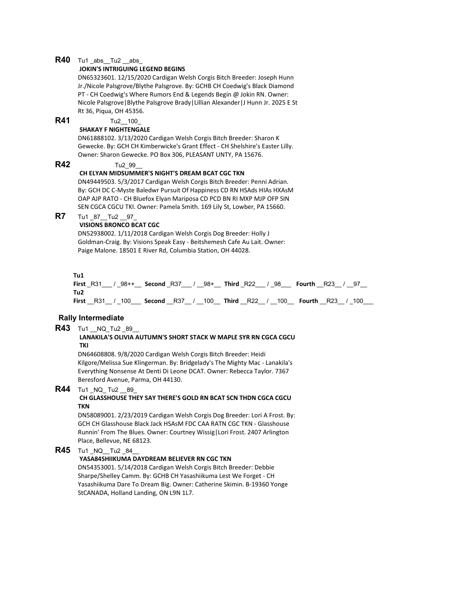## **R40** Tu1 abs Tu2 abs

## **JOKIN'S INTRIGUING LEGEND BEGINS**

DN65323601. 12/15/2020 Cardigan Welsh Corgis Bitch Breeder: Joseph Hunn Jr./Nicole Palsgrove/Blythe Palsgrove. By: GCHB CH Coedwig's Black Diamond PT - CH Coedwig's Where Rumors End & Legends Begin @ Jokin RN. Owner: Nicole Palsgrove|Blythe Palsgrove Brady|Lillian Alexander|J Hunn Jr. 2025 E St Rt 36, Piqua, OH 45356.

**R41** Tu2 100

#### **SHAKAY F NIGHTENGALE**

DN61888102. 3/13/2020 Cardigan Welsh Corgis Bitch Breeder: Sharon K Gewecke. By: GCH CH Kimberwicke's Grant Effect - CH Shelshire's Easter Lilly. Owner: Sharon Gewecke. PO Box 306, PLEASANT UNTY, PA 15676.

## **R42** Tu2\_99\_\_

#### **CH ELYAN MIDSUMMER'S NIGHT'S DREAM BCAT CGC TKN**

DN49449503. 5/3/2017 Cardigan Welsh Corgis Bitch Breeder: Penni Adrian. By: GCH DC C-Myste Baledwr Pursuit Of Happiness CD RN HSAds HIAs HXAsM OAP AJP RATO - CH Bluefox Elyan Mariposa CD PCD BN RI MXP MJP OFP SIN SEN CGCA CGCU TKI. Owner: Pamela Smith. 169 Lily St, Lowber, PA 15660.

# **R7** Tu1 87 Tu2 97

#### **VISIONS BRONCO BCAT CGC**

DN52938002. 1/11/2018 Cardigan Welsh Corgis Dog Breeder: Holly J Goldman-Craig. By: Visions Speak Easy - Beitshemesh Cafe Au Lait. Owner: Paige Malone. 18501 E River Rd, Columbia Station, OH 44028.

## **Tu1**

|     |  |  |  |  |  |  | First_R31___/_98++___ Second_R37___/ __98+___ Third _R22___/ _98____ Fourth __R23__/ __97__             |  |
|-----|--|--|--|--|--|--|---------------------------------------------------------------------------------------------------------|--|
| Tu2 |  |  |  |  |  |  |                                                                                                         |  |
|     |  |  |  |  |  |  | First __R31__ / _100_____Second __R37__ / __100____ Third __R22__ / __100____ Fourth __R23__ / _100____ |  |

## **Rally Intermediate**

# **R43** Tu1 NQ\_Tu2 89

#### **LANAKILA'S OLIVIA AUTUMN'S SHORT STACK W MAPLE SYR RN CGCA CGCU TKI**

DN64608808. 9/8/2020 Cardigan Welsh Corgis Bitch Breeder: Heidi Kilgore/Melissa Sue Klingerman. By: Bridgelady's The Mighty Mac - Lanakila's Everything Nonsense At Denti Di Leone DCAT. Owner: Rebecca Taylor. 7367 Beresford Avenue, Parma, OH 44130.

# **R44** Tu1 NQ Tu2 89

## **CH GLASSHOUSE THEY SAY THERE'S GOLD RN BCAT SCN THDN CGCA CGCU TKN**

DN58089001. 2/23/2019 Cardigan Welsh Corgis Dog Breeder: Lori A Frost. By: GCH CH Glasshouse Black Jack HSAsM FDC CAA RATN CGC TKN - Glasshouse Runnin' From The Blues. Owner: Courtney Wissig|Lori Frost. 2407 Arlington Place, Bellevue, NE 68123.

# **R45** Tu1 NQ\_Tu2 \_84\_

## **YASA84SHIIKUMA DAYDREAM BELIEVER RN CGC TKN**

DN54353001. 5/14/2018 Cardigan Welsh Corgis Bitch Breeder: Debbie Sharpe/Shelley Camm. By: GCHB CH Yasashiikuma Lest We Forget - CH Yasashiikuma Dare To Dream Big. Owner: Catherine Skimin. B-19360 Yonge StCANADA, Holland Landing, ON L9N 1L7.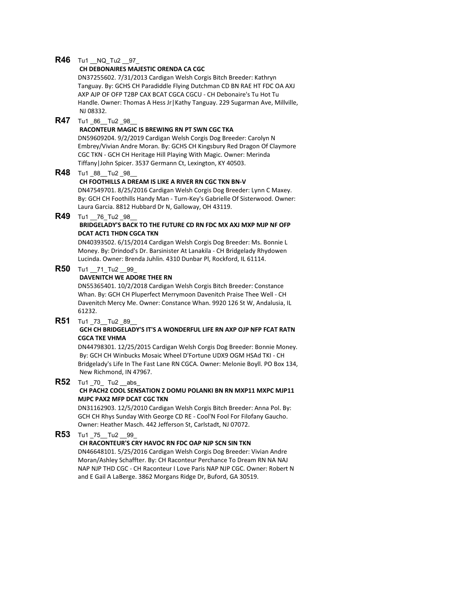#### **R46** Tu1 NQ Tu2 97

#### **CH DEBONAIRES MAJESTIC ORENDA CA CGC**

DN37255602. 7/31/2013 Cardigan Welsh Corgis Bitch Breeder: Kathryn Tanguay. By: GCHS CH Paradiddle Flying Dutchman CD BN RAE HT FDC OA AXJ AXP AJP OF OFP T2BP CAX BCAT CGCA CGCU - CH Debonaire's Tu Hot Tu Handle. Owner: Thomas A Hess Jr|Kathy Tanguay. 229 Sugarman Ave, Millville, NJ 08332.

## **R47** Tu1 86 Tu2 98

#### **RACONTEUR MAGIC IS BREWING RN PT SWN CGC TKA**

DN59609204. 9/2/2019 Cardigan Welsh Corgis Dog Breeder: Carolyn N Embrey/Vivian Andre Moran. By: GCHS CH Kingsbury Red Dragon Of Claymore CGC TKN - GCH CH Heritage Hill Playing With Magic. Owner: Merinda Tiffany|John Spicer. 3537 Germann Ct, Lexington, KY 40503.

## **R48** Tu1 88 \_Tu2 \_98

#### **CH FOOTHILLS A DREAM IS LIKE A RIVER RN CGC TKN BN-V**

DN47549701. 8/25/2016 Cardigan Welsh Corgis Dog Breeder: Lynn C Maxey. By: GCH CH Foothills Handy Man - Turn-Key's Gabrielle Of Sisterwood. Owner: Laura Garcia. 8812 Hubbard Dr N, Galloway, OH 43119.

# **R49** Tu1 \_\_76\_Tu2 \_98\_\_

## **BRIDGELADY'S BACK TO THE FUTURE CD RN FDC MX AXJ MXP MJP NF OFP DCAT ACT1 THDN CGCA TKN**

DN40393502. 6/15/2014 Cardigan Welsh Corgis Dog Breeder: Ms. Bonnie L Money. By: Drindod's Dr. Barsinister At Lanakila - CH Bridgelady Rhydowen Lucinda. Owner: Brenda Juhlin. 4310 Dunbar Pl, Rockford, IL 61114.

## **R50** Tu1 71\_Tu2 \_\_99

## **DAVENITCH WE ADORE THEE RN**

DN55365401. 10/2/2018 Cardigan Welsh Corgis Bitch Breeder: Constance Whan. By: GCH CH Pluperfect Merrymoon Davenitch Praise Thee Well - CH Davenitch Mercy Me. Owner: Constance Whan. 9920 126 St W, Andalusia, IL 61232.

## **R51** Tu1 73 \_Tu2 \_89

#### **GCH CH BRIDGELADY'S IT'S A WONDERFUL LIFE RN AXP OJP NFP FCAT RATN CGCA TKE VHMA**

DN44798301. 12/25/2015 Cardigan Welsh Corgis Dog Breeder: Bonnie Money. By: GCH CH Winbucks Mosaic Wheel D'Fortune UDX9 OGM HSAd TKI - CH Bridgelady's Life In The Fast Lane RN CGCA. Owner: Melonie Boyll. PO Box 134, New Richmond, IN 47967.

## **R52** Tu1 70 Tu2 \_\_abs\_

## **CH PACH2 COOL SENSATION Z DOMU POLANKI BN RN MXP11 MXPC MJP11 MJPC PAX2 MFP DCAT CGC TKN**

DN31162903. 12/5/2010 Cardigan Welsh Corgis Bitch Breeder: Anna Pol. By: GCH CH Rhys Sunday With George CD RE - Cool'N Fool For Filofany Gaucho. Owner: Heather Masch. 442 Jefferson St, Carlstadt, NJ 07072.

## **R53** Tu1 75 Tu2 99

#### **CH RACONTEUR'S CRY HAVOC RN FDC OAP NJP SCN SIN TKN**

DN46648101. 5/25/2016 Cardigan Welsh Corgis Dog Breeder: Vivian Andre Moran/Ashley Schaffter. By: CH Raconteur Perchance To Dream RN NA NAJ NAP NJP THD CGC - CH Raconteur I Love Paris NAP NJP CGC. Owner: Robert N and E Gail A LaBerge. 3862 Morgans Ridge Dr, Buford, GA 30519.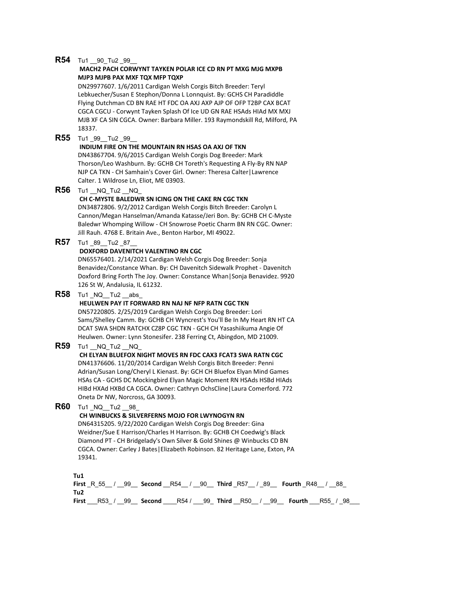## **R54** Tu1 \_\_90\_Tu2 \_99\_\_

#### **MACH2 PACH CORWYNT TAYKEN POLAR ICE CD RN PT MXG MJG MXPB MJP3 MJPB PAX MXF TQX MFP TQXP**

DN29977607. 1/6/2011 Cardigan Welsh Corgis Bitch Breeder: Teryl Lebkuecher/Susan E Stephon/Donna L Lonnquist. By: GCHS CH Paradiddle Flying Dutchman CD BN RAE HT FDC OA AXJ AXP AJP OF OFP T2BP CAX BCAT CGCA CGCU - Corwynt Tayken Splash Of Ice UD GN RAE HSAds HIAd MX MXJ MJB XF CA SIN CGCA. Owner: Barbara Miller. 193 Raymondskill Rd, Milford, PA 18337.

**R55** Tu1 99 \_Tu2 \_99\_

#### **INDIUM FIRE ON THE MOUNTAIN RN HSAS OA AXJ OF TKN**

DN43867704. 9/6/2015 Cardigan Welsh Corgis Dog Breeder: Mark Thorson/Leo Washburn. By: GCHB CH Toreth's Requesting A Fly-By RN NAP NJP CA TKN - CH Samhain's Cover Girl. Owner: Theresa Calter|Lawrence Calter. 1 Wildrose Ln, Eliot, ME 03903.

**R56** Tu1 NQ Tu2 NQ

#### **CH C-MYSTE BALEDWR SN ICING ON THE CAKE RN CGC TKN**

DN34872806. 9/2/2012 Cardigan Welsh Corgis Bitch Breeder: Carolyn L Cannon/Megan Hanselman/Amanda Katasse/Jeri Bon. By: GCHB CH C-Myste Baledwr Whomping Willow - CH Snowrose Poetic Charm BN RN CGC. Owner: Jill Rauh. 4768 E. Britain Ave., Benton Harbor, MI 49022.

**R57** Tu1 \_89\_\_Tu2 \_87\_\_

## **DOXFORD DAVENITCH VALENTINO RN CGC**

DN65576401. 2/14/2021 Cardigan Welsh Corgis Dog Breeder: Sonja Benavidez/Constance Whan. By: CH Davenitch Sidewalk Prophet - Davenitch Doxford Bring Forth The Joy. Owner: Constance Whan|Sonja Benavidez. 9920 126 St W, Andalusia, IL 61232.

**R58** Tu1 NQ Tu2 abs

#### **HEULWEN PAY IT FORWARD RN NAJ NF NFP RATN CGC TKN**

DN57220805. 2/25/2019 Cardigan Welsh Corgis Dog Breeder: Lori Sams/Shelley Camm. By: GCHB CH Wyncrest's You'll Be In My Heart RN HT CA DCAT SWA SHDN RATCHX CZ8P CGC TKN - GCH CH Yasashiikuma Angie Of Heulwen. Owner: Lynn Stonesifer. 238 Ferring Ct, Abingdon, MD 21009.

## **R59** Tu1 NQ Tu2 NQ

**CH ELYAN BLUEFOX NIGHT MOVES RN FDC CAX3 FCAT3 SWA RATN CGC** DN41376606. 11/20/2014 Cardigan Welsh Corgis Bitch Breeder: Penni Adrian/Susan Long/Cheryl L Kienast. By: GCH CH Bluefox Elyan Mind Games HSAs CA - GCHS DC Mockingbird Elyan Magic Moment RN HSAds HSBd HIAds HIBd HXAd HXBd CA CGCA. Owner: Cathryn OchsCline|Laura Comerford. 772 Oneta Dr NW, Norcross, GA 30093.

**R60** Tu1 NQ Tu2 98

#### **CH WINBUCKS & SILVERFERNS MOJO FOR LWYNOGYN RN**

DN64315205. 9/22/2020 Cardigan Welsh Corgis Dog Breeder: Gina Weidner/Sue E Harrison/Charles H Harrison. By: GCHB CH Coedwig's Black Diamond PT - CH Bridgelady's Own Silver & Gold Shines @ Winbucks CD BN CGCA. Owner: Carley J Bates|Elizabeth Robinson. 82 Heritage Lane, Exton, PA 19341.

**Tu1**

**First** \_R\_55\_\_ / \_\_99\_\_ **Second** \_\_R54\_\_ / \_\_90\_\_ **Third** \_R57\_\_ / \_89\_\_ **Fourth** \_R48\_\_ / \_\_88\_ **Tu2 First** \_\_\_R53\_ / \_\_99\_\_ **Second** \_\_\_\_R54 / \_\_\_99\_ **Third** \_\_R50\_\_ / \_\_99\_\_ **Fourth** \_\_\_R55\_ / \_98\_\_\_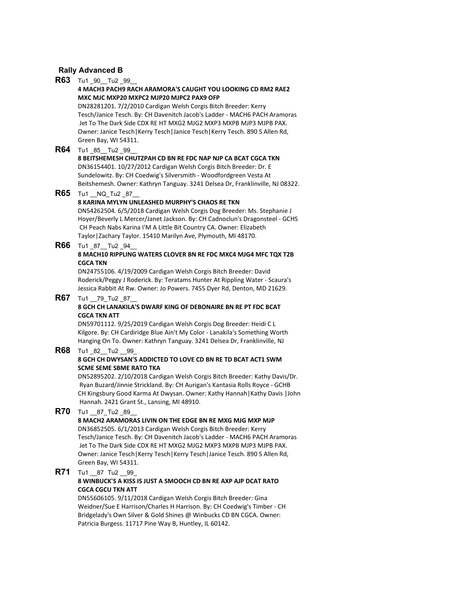## **Rally Advanced B**

**R63** Tu1 90 Tu2 99 **4 MACH3 PACH9 RACH ARAMORA'S CAUGHT YOU LOOKING CD RM2 RAE2 MXC MJC MXP20 MXPC2 MJP20 MJPC2 PAX9 OFP** DN28281201. 7/2/2010 Cardigan Welsh Corgis Bitch Breeder: Kerry Tesch/Janice Tesch. By: CH Davenitch Jacob's Ladder - MACH6 PACH Aramoras Jet To The Dark Side CDX RE HT MXG2 MJG2 MXP3 MXPB MJP3 MJPB PAX. Owner: Janice Tesch|Kerry Tesch|Janice Tesch|Kerry Tesch. 890 S Allen Rd, Green Bay, WI 54311. **R64** Tu1 \_85\_\_Tu2 \_99\_\_ **8 BEITSHEMESH CHUTZPAH CD BN RE FDC NAP NJP CA BCAT CGCA TKN** DN36154401. 10/27/2012 Cardigan Welsh Corgis Bitch Breeder: Dr. E Sundelowitz. By: CH Coedwig's Silversmith - Woodfordgreen Vesta At Beitshemesh. Owner: Kathryn Tanguay. 3241 Delsea Dr, Franklinville, NJ 08322. **R65** Tu1 NQ\_Tu2 87 **8 KARINA MYLYN UNLEASHED MURPHY'S CHAOS RE TKN** DN54262504. 6/5/2018 Cardigan Welsh Corgis Dog Breeder: Ms. Stephanie J Hoyer/Beverly L Mercer/Janet Jackson. By: CH Cadnoclun's Dragonsteel - GCHS CH Peach Nabs Karina I'M A Little Bit Country CA. Owner: Elizabeth Taylor|Zachary Taylor. 15410 Marilyn Ave, Plymouth, MI 48170. **R66** Tu1 87 Tu2 94 **8 MACH10 RIPPLING WATERS CLOVER BN RE FDC MXC4 MJG4 MFC TQX T2B CGCA TKN** DN24755106. 4/19/2009 Cardigan Welsh Corgis Bitch Breeder: David Roderick/Peggy J Roderick. By: Teratams Hunter At Rippling Water - Scaura's Jessica Rabbit At Rw. Owner: Jo Powers. 7455 Dyer Rd, Denton, MD 21629. **R67** Tu1 79 Tu2 87 **8 GCH CH LANAKILA'S DWARF KING OF DEBONAIRE BN RE PT FDC BCAT CGCA TKN ATT** DN59701112. 9/25/2019 Cardigan Welsh Corgis Dog Breeder: Heidi C L Kilgore. By: CH Cardiridge Blue Ain't My Color - Lanakila's Something Worth Hanging On To. Owner: Kathryn Tanguay. 3241 Delsea Dr, Franklinville, NJ **R68** Tu1 82 Tu2 99 **8 GCH CH DWYSAN'S ADDICTED TO LOVE CD BN RE TD BCAT ACT1 SWM SCME SEME SBME RATO TKA** DN52895202. 2/10/2018 Cardigan Welsh Corgis Bitch Breeder: Kathy Davis/Dr. Ryan Buzard/Jinnie Strickland. By: CH Aurigan's Kantasia Rolls Royce - GCHB CH Kingsbury Good Karma At Dwysan. Owner: Kathy Hannah|Kathy Davis |John Hannah. 2421 Grant St., Lansing, MI 48910. **R70** Tu1 \_\_87\_Tu2 \_89 **8 MACH2 ARAMORAS LIVIN ON THE EDGE BN RE MXG MJG MXP MJP** DN36852505. 6/1/2013 Cardigan Welsh Corgis Bitch Breeder: Kerry Tesch/Janice Tesch. By: CH Davenitch Jacob's Ladder - MACH6 PACH Aramoras Jet To The Dark Side CDX RE HT MXG2 MJG2 MXP3 MXPB MJP3 MJPB PAX. Owner: Janice Tesch|Kerry Tesch|Kerry Tesch|Janice Tesch. 890 S Allen Rd, Green Bay, WI 54311. **R71** Tu1 87 Tu2 99 **8 WINBUCK'S A KISS IS JUST A SMOOCH CD BN RE AXP AJP DCAT RATO CGCA CGCU TKN ATT** DN55606105. 9/11/2018 Cardigan Welsh Corgis Bitch Breeder: Gina

Weidner/Sue E Harrison/Charles H Harrison. By: CH Coedwig's Timber - CH Bridgelady's Own Silver & Gold Shines @ Winbucks CD BN CGCA. Owner: Patricia Burgess. 11717 Pine Way B, Huntley, IL 60142.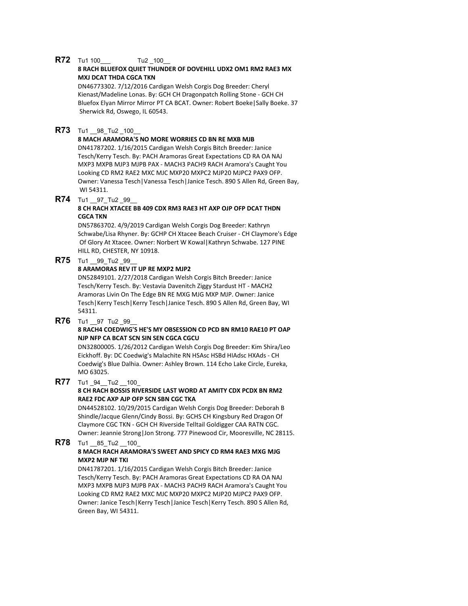## **R72** Tu1 100 Tu2 100

## **8 RACH BLUEFOX QUIET THUNDER OF DOVEHILL UDX2 OM1 RM2 RAE3 MX MXJ DCAT THDA CGCA TKN**

DN46773302. 7/12/2016 Cardigan Welsh Corgis Dog Breeder: Cheryl Kienast/Madeline Lonas. By: GCH CH Dragonpatch Rolling Stone - GCH CH Bluefox Elyan Mirror Mirror PT CA BCAT. Owner: Robert Boeke|Sally Boeke. 37 Sherwick Rd, Oswego, IL 60543.

## **R73** Tu1 98 Tu2 100

## **8 MACH ARAMORA'S NO MORE WORRIES CD BN RE MXB MJB**

DN41787202. 1/16/2015 Cardigan Welsh Corgis Bitch Breeder: Janice Tesch/Kerry Tesch. By: PACH Aramoras Great Expectations CD RA OA NAJ MXP3 MXPB MJP3 MJPB PAX - MACH3 PACH9 RACH Aramora's Caught You Looking CD RM2 RAE2 MXC MJC MXP20 MXPC2 MJP20 MJPC2 PAX9 OFP. Owner: Vanessa Tesch|Vanessa Tesch|Janice Tesch. 890 S Allen Rd, Green Bay, WI 54311.

## **R74** Tu1 97\_Tu2 \_99\_

#### **8 CH RACH XTACEE BB 409 CDX RM3 RAE3 HT AXP OJP OFP DCAT THDN CGCA TKN**

DN57863702. 4/9/2019 Cardigan Welsh Corgis Dog Breeder: Kathryn Schwabe/Lisa Rhyner. By: GCHP CH Xtacee Beach Cruiser - CH Claymore's Edge Of Glory At Xtacee. Owner: Norbert W Kowal|Kathryn Schwabe. 127 PINE HILL RD, CHESTER, NY 10918.

## **R75** Tu1 99 Tu2 99

## **8 ARAMORAS REV IT UP RE MXP2 MJP2**

DN52849101. 2/27/2018 Cardigan Welsh Corgis Bitch Breeder: Janice Tesch/Kerry Tesch. By: Vestavia Davenitch Ziggy Stardust HT - MACH2 Aramoras Livin On The Edge BN RE MXG MJG MXP MJP. Owner: Janice Tesch|Kerry Tesch|Kerry Tesch|Janice Tesch. 890 S Allen Rd, Green Bay, WI 54311.

## **R76** Tu1 97 Tu2 99

## **8 RACH4 COEDWIG'S HE'S MY OBSESSION CD PCD BN RM10 RAE10 PT OAP NJP NFP CA BCAT SCN SIN SEN CGCA CGCU**

DN32800005. 1/26/2012 Cardigan Welsh Corgis Dog Breeder: Kim Shira/Leo Eickhoff. By: DC Coedwig's Malachite RN HSAsc HSBd HIAdsc HXAds - CH Coedwig's Blue Dalhia. Owner: Ashley Brown. 114 Echo Lake Circle, Eureka, MO 63025.

## **R77** Tu1 94 Tu2 100

## **8 CH RACH BOSSIS RIVERSIDE LAST WORD AT AMITY CDX PCDX BN RM2 RAE2 FDC AXP AJP OFP SCN SBN CGC TKA**

DN44528102. 10/29/2015 Cardigan Welsh Corgis Dog Breeder: Deborah B Shindle/Jacque Glenn/Cindy Bossi. By: GCHS CH Kingsbury Red Dragon Of Claymore CGC TKN - GCH CH Riverside Telltail Goldigger CAA RATN CGC. Owner: Jeannie Strong|Jon Strong. 777 Pinewood Cir, Mooresville, NC 28115.

#### **R78** Tu1 85 Tu2 100 **8 MACH RACH ARAMORA'S SWEET AND SPICY CD RM4 RAE3 MXG MJG MXP2 MJP NF TKI**

DN41787201. 1/16/2015 Cardigan Welsh Corgis Bitch Breeder: Janice Tesch/Kerry Tesch. By: PACH Aramoras Great Expectations CD RA OA NAJ MXP3 MXPB MJP3 MJPB PAX - MACH3 PACH9 RACH Aramora's Caught You Looking CD RM2 RAE2 MXC MJC MXP20 MXPC2 MJP20 MJPC2 PAX9 OFP. Owner: Janice Tesch|Kerry Tesch|Janice Tesch|Kerry Tesch. 890 S Allen Rd, Green Bay, WI 54311.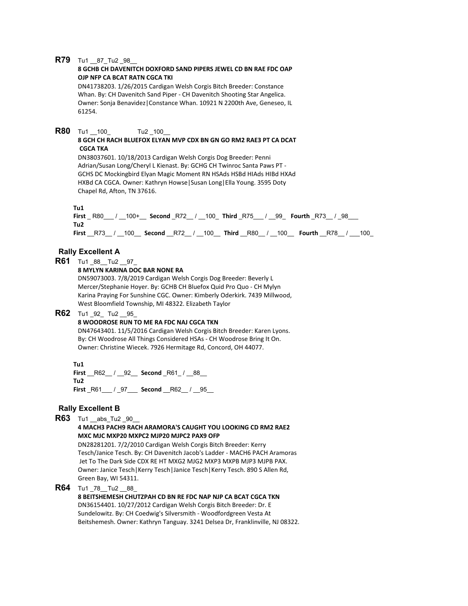## **R79** Tu1 87\_Tu2 \_98

## **8 GCHB CH DAVENITCH DOXFORD SAND PIPERS JEWEL CD BN RAE FDC OAP OJP NFP CA BCAT RATN CGCA TKI**

DN41738203. 1/26/2015 Cardigan Welsh Corgis Bitch Breeder: Constance Whan. By: CH Davenitch Sand Piper - CH Davenitch Shooting Star Angelica. Owner: Sonja Benavidez|Constance Whan. 10921 N 2200th Ave, Geneseo, IL 61254.

## **R80** Tu1 100 Tu2 100

#### **8 GCH CH RACH BLUEFOX ELYAN MVP CDX BN GN GO RM2 RAE3 PT CA DCAT CGCA TKA**

DN38037601. 10/18/2013 Cardigan Welsh Corgis Dog Breeder: Penni Adrian/Susan Long/Cheryl L Kienast. By: GCHG CH Twinroc Santa Paws PT - GCHS DC Mockingbird Elyan Magic Moment RN HSAds HSBd HIAds HIBd HXAd HXBd CA CGCA. Owner: Kathryn Howse|Susan Long|Ella Young. 3595 Doty Chapel Rd, Afton, TN 37616.

**Tu1**

**First** \_ R80\_\_\_ / \_\_100+\_\_ **Second** \_R72\_\_ / \_\_100\_ **Third** \_R75\_\_\_ / \_\_99\_ **Fourth** \_R73\_\_ / \_98\_\_\_ **Tu2 First** \_\_R73\_\_ / \_\_100\_\_ **Second** \_\_R72\_\_ / \_\_100\_\_ **Third** \_\_R80\_\_ / \_\_100\_\_ **Fourth** \_\_R78\_\_ / \_\_\_100\_

## **Rally Excellent A**

**R61** Tu1 \_88\_\_Tu2 \_\_97\_

#### **8 MYLYN KARINA DOC BAR NONE RA**

DN59073003. 7/8/2019 Cardigan Welsh Corgis Dog Breeder: Beverly L Mercer/Stephanie Hoyer. By: GCHB CH Bluefox Quid Pro Quo - CH Mylyn Karina Praying For Sunshine CGC. Owner: Kimberly Oderkirk. 7439 Millwood, West Bloomfield Township, MI 48322. Elizabeth Taylor

## **R62** Tu1 92 Tu2 95

#### **8 WOODROSE RUN TO ME RA FDC NAJ CGCA TKN**

DN47643401. 11/5/2016 Cardigan Welsh Corgis Bitch Breeder: Karen Lyons. By: CH Woodrose All Things Considered HSAs - CH Woodrose Bring It On. Owner: Christine Wiecek. 7926 Hermitage Rd, Concord, OH 44077.

**Tu1 First** R62 / 92 **Second** R61 / 88 **Tu2 First** \_R61\_\_\_ / \_97\_\_\_ **Second** \_\_R62\_\_ / \_\_95\_\_

## **Rally Excellent B**

**R63** Tu1 abs Tu2 90

**4 MACH3 PACH9 RACH ARAMORA'S CAUGHT YOU LOOKING CD RM2 RAE2 MXC MJC MXP20 MXPC2 MJP20 MJPC2 PAX9 OFP**

DN28281201. 7/2/2010 Cardigan Welsh Corgis Bitch Breeder: Kerry Tesch/Janice Tesch. By: CH Davenitch Jacob's Ladder - MACH6 PACH Aramoras Jet To The Dark Side CDX RE HT MXG2 MJG2 MXP3 MXPB MJP3 MJPB PAX. Owner: Janice Tesch|Kerry Tesch|Janice Tesch|Kerry Tesch. 890 S Allen Rd, Green Bay, WI 54311.

**R64** Tu1 \_78\_\_Tu2 \_\_88\_

# **8 BEITSHEMESH CHUTZPAH CD BN RE FDC NAP NJP CA BCAT CGCA TKN**

DN36154401. 10/27/2012 Cardigan Welsh Corgis Bitch Breeder: Dr. E Sundelowitz. By: CH Coedwig's Silversmith - Woodfordgreen Vesta At Beitshemesh. Owner: Kathryn Tanguay. 3241 Delsea Dr, Franklinville, NJ 08322.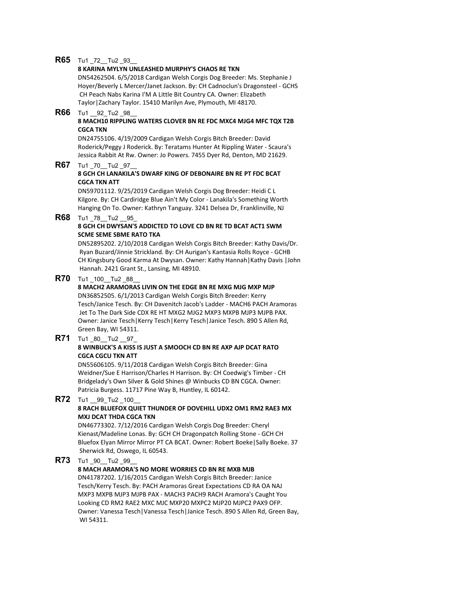## **R65** Tu1 72 Tu2 93

## **8 KARINA MYLYN UNLEASHED MURPHY'S CHAOS RE TKN**

DN54262504. 6/5/2018 Cardigan Welsh Corgis Dog Breeder: Ms. Stephanie J Hoyer/Beverly L Mercer/Janet Jackson. By: CH Cadnoclun's Dragonsteel - GCHS CH Peach Nabs Karina I'M A Little Bit Country CA. Owner: Elizabeth Taylor|Zachary Taylor. 15410 Marilyn Ave, Plymouth, MI 48170.

## **R66** Tu1 92 Tu2 98

#### **8 MACH10 RIPPLING WATERS CLOVER BN RE FDC MXC4 MJG4 MFC TQX T2B CGCA TKN**

DN24755106. 4/19/2009 Cardigan Welsh Corgis Bitch Breeder: David Roderick/Peggy J Roderick. By: Teratams Hunter At Rippling Water - Scaura's Jessica Rabbit At Rw. Owner: Jo Powers. 7455 Dyer Rd, Denton, MD 21629.

## **R67** Tu1 70 Tu2 97

#### **8 GCH CH LANAKILA'S DWARF KING OF DEBONAIRE BN RE PT FDC BCAT CGCA TKN ATT**

DN59701112. 9/25/2019 Cardigan Welsh Corgis Dog Breeder: Heidi C L Kilgore. By: CH Cardiridge Blue Ain't My Color - Lanakila's Something Worth Hanging On To. Owner: Kathryn Tanguay. 3241 Delsea Dr, Franklinville, NJ

#### **R68** Tu1 78 Tu2 95 **8 GCH CH DWYSAN'S ADDICTED TO LOVE CD BN RE TD BCAT ACT1 SWM SCME SEME SBME RATO TKA**

DN52895202. 2/10/2018 Cardigan Welsh Corgis Bitch Breeder: Kathy Davis/Dr. Ryan Buzard/Jinnie Strickland. By: CH Aurigan's Kantasia Rolls Royce - GCHB CH Kingsbury Good Karma At Dwysan. Owner: Kathy Hannah|Kathy Davis |John Hannah. 2421 Grant St., Lansing, MI 48910.

## **R70** Tu1 100 Tu2 88

## **8 MACH2 ARAMORAS LIVIN ON THE EDGE BN RE MXG MJG MXP MJP**

DN36852505. 6/1/2013 Cardigan Welsh Corgis Bitch Breeder: Kerry Tesch/Janice Tesch. By: CH Davenitch Jacob's Ladder - MACH6 PACH Aramoras Jet To The Dark Side CDX RE HT MXG2 MJG2 MXP3 MXPB MJP3 MJPB PAX. Owner: Janice Tesch|Kerry Tesch|Kerry Tesch|Janice Tesch. 890 S Allen Rd, Green Bay, WI 54311.

## **R71** Tu1 \_80\_\_Tu2 \_\_97\_

#### **8 WINBUCK'S A KISS IS JUST A SMOOCH CD BN RE AXP AJP DCAT RATO CGCA CGCU TKN ATT**

DN55606105. 9/11/2018 Cardigan Welsh Corgis Bitch Breeder: Gina Weidner/Sue E Harrison/Charles H Harrison. By: CH Coedwig's Timber - CH Bridgelady's Own Silver & Gold Shines @ Winbucks CD BN CGCA. Owner: Patricia Burgess. 11717 Pine Way B, Huntley, IL 60142.

# **R72** Tu1 99 Tu2 100

## **8 RACH BLUEFOX QUIET THUNDER OF DOVEHILL UDX2 OM1 RM2 RAE3 MX MXJ DCAT THDA CGCA TKN**

DN46773302. 7/12/2016 Cardigan Welsh Corgis Dog Breeder: Cheryl Kienast/Madeline Lonas. By: GCH CH Dragonpatch Rolling Stone - GCH CH Bluefox Elyan Mirror Mirror PT CA BCAT. Owner: Robert Boeke|Sally Boeke. 37 Sherwick Rd, Oswego, IL 60543.

## **R73** Tu1 90 Tu2 99

## **8 MACH ARAMORA'S NO MORE WORRIES CD BN RE MXB MJB**

DN41787202. 1/16/2015 Cardigan Welsh Corgis Bitch Breeder: Janice Tesch/Kerry Tesch. By: PACH Aramoras Great Expectations CD RA OA NAJ MXP3 MXPB MJP3 MJPB PAX - MACH3 PACH9 RACH Aramora's Caught You Looking CD RM2 RAE2 MXC MJC MXP20 MXPC2 MJP20 MJPC2 PAX9 OFP. Owner: Vanessa Tesch|Vanessa Tesch|Janice Tesch. 890 S Allen Rd, Green Bay, WI 54311.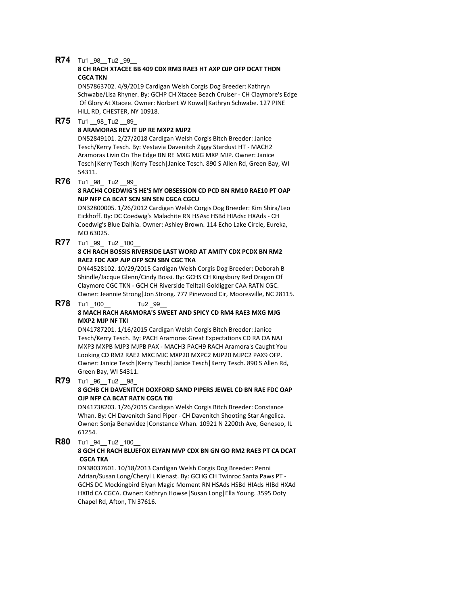## **R74** Tu1 98 Tu2 99

## **8 CH RACH XTACEE BB 409 CDX RM3 RAE3 HT AXP OJP OFP DCAT THDN CGCA TKN**

DN57863702. 4/9/2019 Cardigan Welsh Corgis Dog Breeder: Kathryn Schwabe/Lisa Rhyner. By: GCHP CH Xtacee Beach Cruiser - CH Claymore's Edge Of Glory At Xtacee. Owner: Norbert W Kowal|Kathryn Schwabe. 127 PINE HILL RD, CHESTER, NY 10918.

# **R75** Tu1 \_98\_Tu2 \_89

## **8 ARAMORAS REV IT UP RE MXP2 MJP2**

DN52849101. 2/27/2018 Cardigan Welsh Corgis Bitch Breeder: Janice Tesch/Kerry Tesch. By: Vestavia Davenitch Ziggy Stardust HT - MACH2 Aramoras Livin On The Edge BN RE MXG MJG MXP MJP. Owner: Janice Tesch|Kerry Tesch|Kerry Tesch|Janice Tesch. 890 S Allen Rd, Green Bay, WI 54311.

## **R76** Tu1 98 Tu2 99

## **8 RACH4 COEDWIG'S HE'S MY OBSESSION CD PCD BN RM10 RAE10 PT OAP NJP NFP CA BCAT SCN SIN SEN CGCA CGCU**

DN32800005. 1/26/2012 Cardigan Welsh Corgis Dog Breeder: Kim Shira/Leo Eickhoff. By: DC Coedwig's Malachite RN HSAsc HSBd HIAdsc HXAds - CH Coedwig's Blue Dalhia. Owner: Ashley Brown. 114 Echo Lake Circle, Eureka, MO 63025.

**R77** Tu1 99 Tu2 100

## **8 CH RACH BOSSIS RIVERSIDE LAST WORD AT AMITY CDX PCDX BN RM2 RAE2 FDC AXP AJP OFP SCN SBN CGC TKA**

DN44528102. 10/29/2015 Cardigan Welsh Corgis Dog Breeder: Deborah B Shindle/Jacque Glenn/Cindy Bossi. By: GCHS CH Kingsbury Red Dragon Of Claymore CGC TKN - GCH CH Riverside Telltail Goldigger CAA RATN CGC. Owner: Jeannie Strong|Jon Strong. 777 Pinewood Cir, Mooresville, NC 28115.

# **R78** Tu1 100 Tu2 99 **8 MACH RACH ARAMORA'S SWEET AND SPICY CD RM4 RAE3 MXG MJG**

# **MXP2 MJP NF TKI**

DN41787201. 1/16/2015 Cardigan Welsh Corgis Bitch Breeder: Janice Tesch/Kerry Tesch. By: PACH Aramoras Great Expectations CD RA OA NAJ MXP3 MXPB MJP3 MJPB PAX - MACH3 PACH9 RACH Aramora's Caught You Looking CD RM2 RAE2 MXC MJC MXP20 MXPC2 MJP20 MJPC2 PAX9 OFP. Owner: Janice Tesch|Kerry Tesch|Janice Tesch|Kerry Tesch. 890 S Allen Rd, Green Bay, WI 54311.

## **R79** Tu1 \_96\_\_Tu2 \_\_98\_

## **8 GCHB CH DAVENITCH DOXFORD SAND PIPERS JEWEL CD BN RAE FDC OAP OJP NFP CA BCAT RATN CGCA TKI**

DN41738203. 1/26/2015 Cardigan Welsh Corgis Bitch Breeder: Constance Whan. By: CH Davenitch Sand Piper - CH Davenitch Shooting Star Angelica. Owner: Sonja Benavidez|Constance Whan. 10921 N 2200th Ave, Geneseo, IL 61254.

**R80** Tu1 94 \_Tu2 \_100

## **8 GCH CH RACH BLUEFOX ELYAN MVP CDX BN GN GO RM2 RAE3 PT CA DCAT CGCA TKA**

DN38037601. 10/18/2013 Cardigan Welsh Corgis Dog Breeder: Penni Adrian/Susan Long/Cheryl L Kienast. By: GCHG CH Twinroc Santa Paws PT - GCHS DC Mockingbird Elyan Magic Moment RN HSAds HSBd HIAds HIBd HXAd HXBd CA CGCA. Owner: Kathryn Howse|Susan Long|Ella Young. 3595 Doty Chapel Rd, Afton, TN 37616.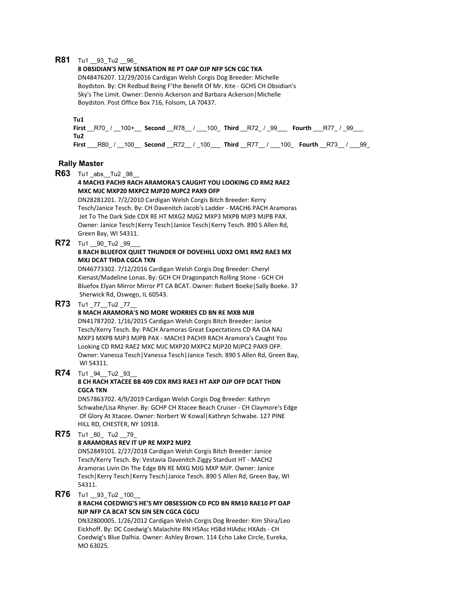## **R81** Tu1 93 Tu2 96

#### **8 OBSIDIAN'S NEW SENSATION RE PT OAP OJP NFP SCN CGC TKA**

DN48476207. 12/29/2016 Cardigan Welsh Corgis Dog Breeder: Michelle Boydston. By: CH Redbud Being F'the Benefit Of Mr. Kite - GCHS CH Obsidian's Sky's The Limit. Owner: Dennis Ackerson and Barbara Ackerson|Michelle Boydston. Post Office Box 716, Folsom, LA 70437.

#### **Tu1**

**First** \_\_R70\_ / \_\_100+\_\_ **Second** \_\_R78\_\_ / \_\_\_100\_ **Third** \_\_R72\_ / \_99\_\_\_ **Fourth** \_\_\_R77\_ / \_99\_\_\_ **Tu2 First** \_\_\_R80\_ / \_\_100\_\_ **Second** \_\_R72\_\_ / \_100\_\_\_ **Third** \_\_R77\_\_ / \_\_\_100\_ **Fourth** \_\_R73\_\_ / \_\_\_99\_

## **Rally Master**

**R63** Tu1 \_abs\_\_Tu2 \_98\_\_

## **4 MACH3 PACH9 RACH ARAMORA'S CAUGHT YOU LOOKING CD RM2 RAE2 MXC MJC MXP20 MXPC2 MJP20 MJPC2 PAX9 OFP**

DN28281201. 7/2/2010 Cardigan Welsh Corgis Bitch Breeder: Kerry Tesch/Janice Tesch. By: CH Davenitch Jacob's Ladder - MACH6 PACH Aramoras Jet To The Dark Side CDX RE HT MXG2 MJG2 MXP3 MXPB MJP3 MJPB PAX. Owner: Janice Tesch|Kerry Tesch|Janice Tesch|Kerry Tesch. 890 S Allen Rd, Green Bay, WI 54311.

**R72** Tu1 90 Tu2 99

## **8 RACH BLUEFOX QUIET THUNDER OF DOVEHILL UDX2 OM1 RM2 RAE3 MX MXJ DCAT THDA CGCA TKN**

DN46773302. 7/12/2016 Cardigan Welsh Corgis Dog Breeder: Cheryl Kienast/Madeline Lonas. By: GCH CH Dragonpatch Rolling Stone - GCH CH Bluefox Elyan Mirror Mirror PT CA BCAT. Owner: Robert Boeke|Sally Boeke. 37 Sherwick Rd, Oswego, IL 60543.

## **R73** Tu1 \_77\_\_Tu2 \_77\_\_

## **8 MACH ARAMORA'S NO MORE WORRIES CD BN RE MXB MJB**

DN41787202. 1/16/2015 Cardigan Welsh Corgis Bitch Breeder: Janice Tesch/Kerry Tesch. By: PACH Aramoras Great Expectations CD RA OA NAJ MXP3 MXPB MJP3 MJPB PAX - MACH3 PACH9 RACH Aramora's Caught You Looking CD RM2 RAE2 MXC MJC MXP20 MXPC2 MJP20 MJPC2 PAX9 OFP. Owner: Vanessa Tesch|Vanessa Tesch|Janice Tesch. 890 S Allen Rd, Green Bay, WI 54311.

## **R74** Tu1 94 \_Tu2 \_93

## **8 CH RACH XTACEE BB 409 CDX RM3 RAE3 HT AXP OJP OFP DCAT THDN CGCA TKN**

DN57863702. 4/9/2019 Cardigan Welsh Corgis Dog Breeder: Kathryn Schwabe/Lisa Rhyner. By: GCHP CH Xtacee Beach Cruiser - CH Claymore's Edge Of Glory At Xtacee. Owner: Norbert W Kowal|Kathryn Schwabe. 127 PINE HILL RD, CHESTER, NY 10918.

**R75** Tu1 80 Tu2 79

## **8 ARAMORAS REV IT UP RE MXP2 MJP2**

DN52849101. 2/27/2018 Cardigan Welsh Corgis Bitch Breeder: Janice Tesch/Kerry Tesch. By: Vestavia Davenitch Ziggy Stardust HT - MACH2 Aramoras Livin On The Edge BN RE MXG MJG MXP MJP. Owner: Janice Tesch|Kerry Tesch|Kerry Tesch|Janice Tesch. 890 S Allen Rd, Green Bay, WI 54311.

## **R76** Tu1 93 Tu2 100

#### **8 RACH4 COEDWIG'S HE'S MY OBSESSION CD PCD BN RM10 RAE10 PT OAP NJP NFP CA BCAT SCN SIN SEN CGCA CGCU**

DN32800005. 1/26/2012 Cardigan Welsh Corgis Dog Breeder: Kim Shira/Leo Eickhoff. By: DC Coedwig's Malachite RN HSAsc HSBd HIAdsc HXAds - CH Coedwig's Blue Dalhia. Owner: Ashley Brown. 114 Echo Lake Circle, Eureka, MO 63025.